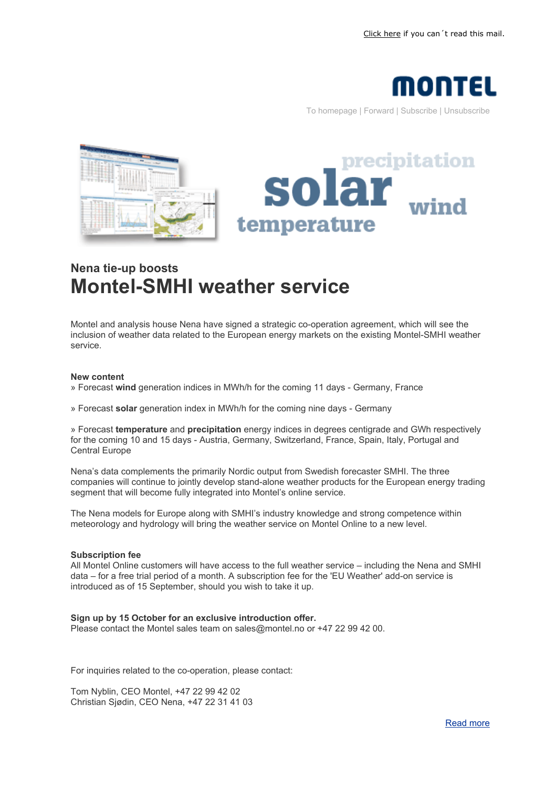

To homepage | Forward | Subscribe | Unsubscribe





## **Nena tie-up boosts Montel-SMHI weather service**

Montel and analysis house Nena have signed a strategic co-operation agreement, which will see the inclusion of weather data related to the European energy markets on the existing Montel-SMHI weather service.

## **New content**

» Forecast **wind** generation indices in MWh/h for the coming 11 days - Germany, France

» Forecast **solar** generation index in MWh/h for the coming nine days - Germany

» Forecast **temperature** and **precipitation** energy indices in degrees centigrade and GWh respectively for the coming 10 and 15 days - Austria, Germany, Switzerland, France, Spain, Italy, Portugal and Central Europe

Nena's data complements the primarily Nordic output from Swedish forecaster SMHI. The three companies will continue to jointly develop stand-alone weather products for the European energy trading segment that will become fully integrated into Montel's online service.

The Nena models for Europe along with SMHI's industry knowledge and strong competence within meteorology and hydrology will bring the weather service on Montel Online to a new level.

## **Subscription fee**

All Montel Online customers will have access to the full weather service – including the Nena and SMHI data – for a free trial period of a month. A subscription fee for the 'EU Weather' add-on service is introduced as of 15 September, should you wish to take it up.

## **Sign up by 15 October for an exclusive introduction offer.**

Please contact the Montel sales team on sales@montel.no or +47 22 99 42 00.

For inquiries related to the co-operation, please contact:

Tom Nyblin, CEO Montel, +47 22 99 42 02 Christian Sjødin, CEO Nena, +47 22 31 41 03